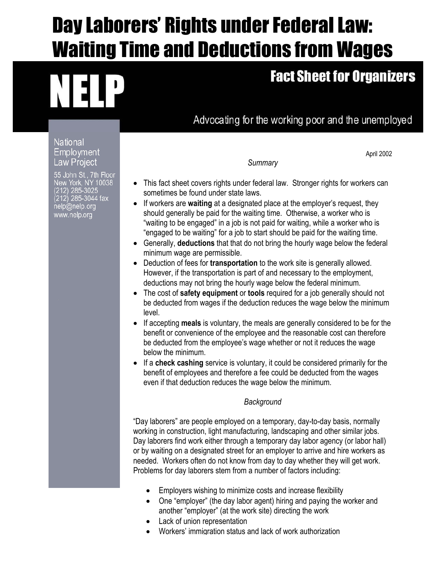## Day Laborers' Rights under Federal Law: Waiting Time and Deductions from Wages

# R E

### **Fact Sheet for Organizers**

April 2002

Advocating for the working poor and the unemployed

**National Employment** Law Project

55 John St., 7th Floor New York, NY 10038<br>(212) 285-3025 .12) 285-3044 fax nelp@nelp.org www.nelp.org

*Summary* 

- This fact sheet covers rights under federal law. Stronger rights for workers can sometimes be found under state laws.
- If workers are **waiting** at a designated place at the employer's request, they should generally be paid for the waiting time. Otherwise, a worker who is "waiting to be engaged" in a job is not paid for waiting, while a worker who is "engaged to be waiting" for a job to start should be paid for the waiting time.
- Generally, **deductions** that that do not bring the hourly wage below the federal minimum wage are permissible.
- Deduction of fees for **transportation** to the work site is generally allowed. However, if the transportation is part of and necessary to the employment, deductions may not bring the hourly wage below the federal minimum.
- The cost of **safety equipment** or **tools** required for a job generally should not be deducted from wages if the deduction reduces the wage below the minimum level.
- If accepting **meals** is voluntary, the meals are generally considered to be for the benefit or convenience of the employee and the reasonable cost can therefore be deducted from the employee's wage whether or not it reduces the wage below the minimum.
- If a **check cashing** service is voluntary, it could be considered primarily for the benefit of employees and therefore a fee could be deducted from the wages even if that deduction reduces the wage below the minimum.

#### *Background*

"Day laborers" are people employed on a temporary, day-to-day basis, normally working in construction, light manufacturing, landscaping and other similar jobs. Day laborers find work either through a temporary day labor agency (or labor hall) or by waiting on a designated street for an employer to arrive and hire workers as needed. Workers often do not know from day to day whether they will get work. Problems for day laborers stem from a number of factors including:

- Employers wishing to minimize costs and increase flexibility
- One "employer" (the day labor agent) hiring and paying the worker and another "employer" (at the work site) directing the work
- Lack of union representation
- Workers' immigration status and lack of work authorization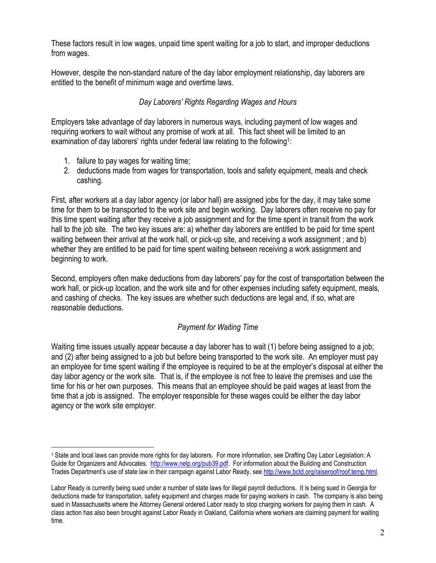These factors result in low wages, unpaid time spent waiting for a job to start, and improper deductions from wages.

However, despite the non-standard nature of the day labor employment relationship, day laborers are entitled to the benefit of minimum wage and overtime laws.

#### *Day Laborers' Rights Regarding Wages and Hours*

Employers take advantage of day laborers in numerous ways, including payment of low wages and requiring workers to wait without any promise of work at all. This fact sheet will be limited to an examination of day laborers' rights under federal law relating to the following<sup>1</sup>:

1. failure to pay wages for waiting time;

 $\overline{a}$ 

2. deductions made from wages for transportation, tools and safety equipment, meals and check cashing.

First, after workers at a day labor agency (or labor hall) are assigned jobs for the day, it may take some time for them to be transported to the work site and begin working. Day laborers often receive no pay for this time spent waiting after they receive a job assignment and for the time spent in transit from the work hall to the job site. The two key issues are: a) whether day laborers are entitled to be paid for time spent waiting between their arrival at the work hall, or pick-up site, and receiving a work assignment ; and b) whether they are entitled to be paid for time spent waiting between receiving a work assignment and beginning to work.

Second, employers often make deductions from day laborers' pay for the cost of transportation between the work hall, or pick-up location, and the work site and for other expenses including safety equipment, meals, and cashing of checks. The key issues are whether such deductions are legal and, if so, what are reasonable deductions.

#### *Payment for Waiting Time*

Waiting time issues usually appear because a day laborer has to wait (1) before being assigned to a job; and (2) after being assigned to a job but before being transported to the work site.An employer must pay an employee for time spent waiting if the employee is required to be at the employer's disposal at either the day labor agency or the work site. That is, if the employee is not free to leave the premises and use the time for his or her own purposes. This means that an employee should be paid wages at least from the time that a job is assigned. The employer responsible for these wages could be either the day labor agency or the work site employer.

<sup>1</sup> State and local laws can provide more rights for day laborers. For more information, see Drafting Day Labor Legislation: A Guide for Organizers and Advocates. http://www.nelp.org/pub39.pdf. For information about the Building and Construction Trades Department's use of state law in their campaign against Labor Ready, see http://www.bctd.org/raiseroof/roof.temp.html.

Labor Ready is currently being sued under a number of state laws for illegal payroll deductions. It is being sued in Georgia for deductions made for transportation, safety equipment and charges made for paying workers in cash. The company is also being sued in Massachusetts where the Attorney General ordered Labor ready to stop charging workers for paying them in cash. A class action has also been brought against Labor Ready in Oakland, California where workers are claiming payment for waiting time.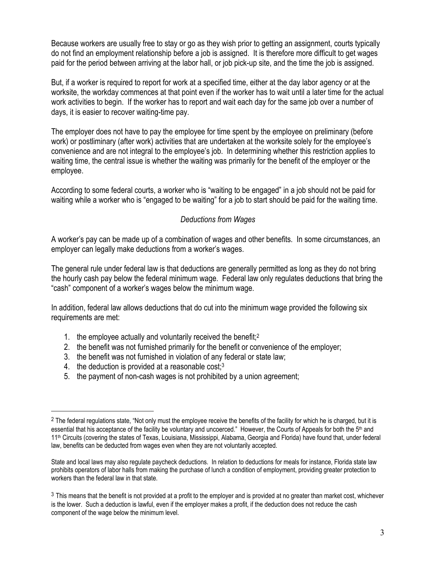Because workers are usually free to stay or go as they wish prior to getting an assignment, courts typically do not find an employment relationship before a job is assigned. It is therefore more difficult to get wages paid for the period between arriving at the labor hall, or job pick-up site, and the time the job is assigned.

But, if a worker is required to report for work at a specified time, either at the day labor agency or at the worksite, the workday commences at that point even if the worker has to wait until a later time for the actual work activities to begin. If the worker has to report and wait each day for the same job over a number of days, it is easier to recover waiting-time pay.

The employer does not have to pay the employee for time spent by the employee on preliminary (before work) or postliminary (after work) activities that are undertaken at the worksite solely for the employee's convenience and are not integral to the employee's job. In determining whether this restriction applies to waiting time, the central issue is whether the waiting was primarily for the benefit of the employer or the employee.

According to some federal courts, a worker who is "waiting to be engaged" in a job should not be paid for waiting while a worker who is "engaged to be waiting" for a job to start should be paid for the waiting time.

#### *Deductions from Wages*

A worker's pay can be made up of a combination of wages and other benefits. In some circumstances, an employer can legally make deductions from a worker's wages.

The general rule under federal law is that deductions are generally permitted as long as they do not bring the hourly cash pay below the federal minimum wage. Federal law only regulates deductions that bring the "cash" component of a worker's wages below the minimum wage.

In addition, federal law allows deductions that do cut into the minimum wage provided the following six requirements are met:

- 1. the employee actually and voluntarily received the benefit;<sup>2</sup>
- 2. the benefit was not furnished primarily for the benefit or convenience of the employer;
- 3. the benefit was not furnished in violation of any federal or state law;
- 4. the deduction is provided at a reasonable cost; $3$

l.

5. the payment of non-cash wages is not prohibited by a union agreement;

 $2$  The federal regulations state, "Not only must the employee receive the benefits of the facility for which he is charged, but it is essential that his acceptance of the facility be voluntary and uncoerced." However, the Courts of Appeals for both the 5<sup>th</sup> and 11th Circuits (covering the states of Texas, Louisiana, Mississippi, Alabama, Georgia and Florida) have found that, under federal law, benefits can be deducted from wages even when they are not voluntarily accepted.

State and local laws may also regulate paycheck deductions. In relation to deductions for meals for instance, Florida state law prohibits operators of labor halls from making the purchase of lunch a condition of employment, providing greater protection to workers than the federal law in that state.

<sup>&</sup>lt;sup>3</sup> This means that the benefit is not provided at a profit to the employer and is provided at no greater than market cost, whichever is the lower. Such a deduction is lawful, even if the employer makes a profit, if the deduction does not reduce the cash component of the wage below the minimum level.